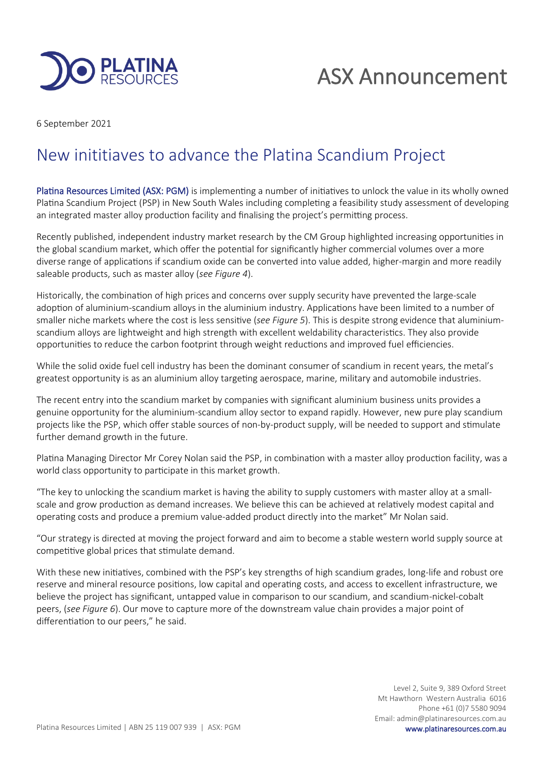

# ASX Announcement

6 September 2021

## New inititiaves to advance the Platina Scandium Project

Platina Resources Limited (ASX: PGM) is implementing a number of initiatives to unlock the value in its wholly owned Platina Scandium Project (PSP) in New South Wales including completing a feasibility study assessment of developing an integrated master alloy production facility and finalising the project's permitting process.

Recently published, independent industry market research by the CM Group highlighted increasing opportunities in the global scandium market, which offer the potential for significantly higher commercial volumes over a more diverse range of applications if scandium oxide can be converted into value added, higher-margin and more readily saleable products, such as master alloy (*see Figure 4*).

Historically, the combination of high prices and concerns over supply security have prevented the large-scale adoption of aluminium-scandium alloys in the aluminium industry. Applications have been limited to a number of smaller niche markets where the cost is less sensitive (*see Figure 5*). This is despite strong evidence that aluminiumscandium alloys are lightweight and high strength with excellent weldability characteristics. They also provide opportunities to reduce the carbon footprint through weight reductions and improved fuel efficiencies.

While the solid oxide fuel cell industry has been the dominant consumer of scandium in recent years, the metal's greatest opportunity is as an aluminium alloy targeting aerospace, marine, military and automobile industries.

The recent entry into the scandium market by companies with significant aluminium business units provides a genuine opportunity for the aluminium-scandium alloy sector to expand rapidly. However, new pure play scandium projects like the PSP, which offer stable sources of non-by-product supply, will be needed to support and stimulate further demand growth in the future.

Platina Managing Director Mr Corey Nolan said the PSP, in combination with a master alloy production facility, was a world class opportunity to participate in this market growth.

"The key to unlocking the scandium market is having the ability to supply customers with master alloy at a smallscale and grow production as demand increases. We believe this can be achieved at relatively modest capital and operating costs and produce a premium value-added product directly into the market" Mr Nolan said.

"Our strategy is directed at moving the project forward and aim to become a stable western world supply source at competitive global prices that stimulate demand.

With these new initiatives, combined with the PSP's key strengths of high scandium grades, long-life and robust ore reserve and mineral resource positions, low capital and operating costs, and access to excellent infrastructure, we believe the project has significant, untapped value in comparison to our scandium, and scandium-nickel-cobalt peers, (*see Figure 6*). Our move to capture more of the downstream value chain provides a major point of differentiation to our peers," he said.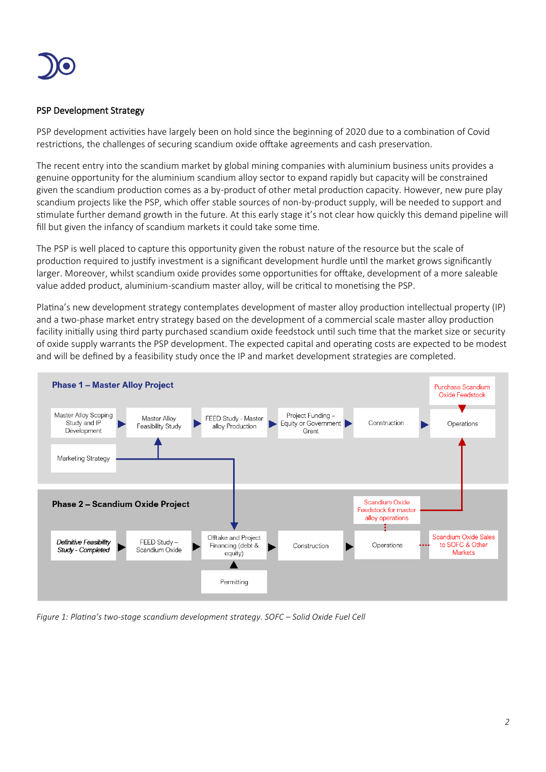

### PSP Development Strategy

PSP development activities have largely been on hold since the beginning of 2020 due to a combination of Covid restrictions, the challenges of securing scandium oxide offtake agreements and cash preservation.

The recent entry into the scandium market by global mining companies with aluminium business units provides a genuine opportunity for the aluminium scandium alloy sector to expand rapidly but capacity will be constrained given the scandium production comes as a by-product of other metal production capacity. However, new pure play scandium projects like the PSP, which offer stable sources of non-by-product supply, will be needed to support and stimulate further demand growth in the future. At this early stage it's not clear how quickly this demand pipeline will fill but given the infancy of scandium markets it could take some time.

The PSP is well placed to capture this opportunity given the robust nature of the resource but the scale of production required to justify investment is a significant development hurdle until the market grows significantly larger. Moreover, whilst scandium oxide provides some opportunities for offtake, development of a more saleable value added product, aluminium-scandium master alloy, will be critical to monetising the PSP.

Platina's new development strategy contemplates development of master alloy production intellectual property (IP) and a two-phase market entry strategy based on the development of a commercial scale master alloy production facility initially using third party purchased scandium oxide feedstock until such time that the market size or security of oxide supply warrants the PSP development. The expected capital and operating costs are expected to be modest and will be defined by a feasibility study once the IP and market development strategies are completed.



*Figure 1: Platina's two-stage scandium development strategy. SOFC – Solid Oxide Fuel Cell*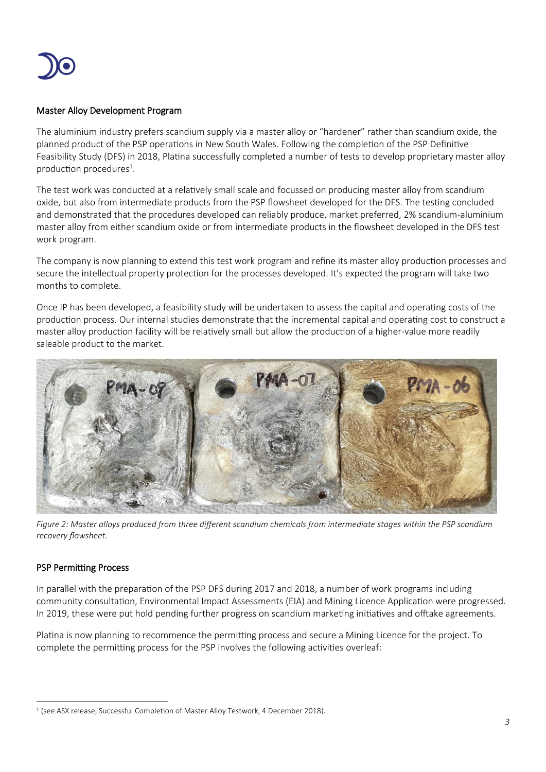

### Master Alloy Development Program

The aluminium industry prefers scandium supply via a master alloy or "hardener" rather than scandium oxide, the planned product of the PSP operations in New South Wales. Following the completion of the PSP Definitive Feasibility Study (DFS) in 2018, Platina successfully completed a number of tests to develop proprietary master alloy production procedures<sup>1</sup>.

The test work was conducted at a relatively small scale and focussed on producing master alloy from scandium oxide, but also from intermediate products from the PSP flowsheet developed for the DFS. The testing concluded and demonstrated that the procedures developed can reliably produce, market preferred, 2% scandium-aluminium master alloy from either scandium oxide or from intermediate products in the flowsheet developed in the DFS test work program.

The company is now planning to extend this test work program and refine its master alloy production processes and secure the intellectual property protection for the processes developed. It's expected the program will take two months to complete.

Once IP has been developed, a feasibility study will be undertaken to assess the capital and operating costs of the production process. Our internal studies demonstrate that the incremental capital and operating cost to construct a master alloy production facility will be relatively small but allow the production of a higher-value more readily saleable product to the market.



*Figure 2: Master alloys produced from three different scandium chemicals from intermediate stages within the PSP scandium recovery flowsheet.*

### PSP Permitting Process

In parallel with the preparation of the PSP DFS during 2017 and 2018, a number of work programs including community consultation, Environmental Impact Assessments (EIA) and Mining Licence Application were progressed. In 2019, these were put hold pending further progress on scandium marketing initiatives and offtake agreements.

Platina is now planning to recommence the permitting process and secure a Mining Licence for the project. To complete the permitting process for the PSP involves the following activities overleaf:

<sup>&</sup>lt;sup>1</sup> (see ASX release, Successful Completion of Master Alloy Testwork, 4 December 2018).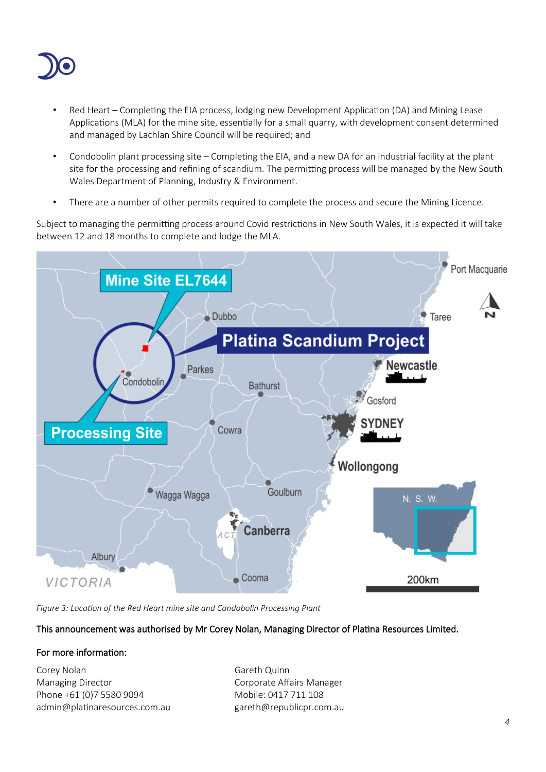

- Red Heart Completing the EIA process, lodging new Development Application (DA) and Mining Lease Applications (MLA) for the mine site, essentially for a small quarry, with development consent determined and managed by Lachlan Shire Council will be required; and
- Condobolin plant processing site Completing the EIA, and a new DA for an industrial facility at the plant site for the processing and refining of scandium. The permitting process will be managed by the New South Wales Department of Planning, Industry & Environment.
- There are a number of other permits required to complete the process and secure the Mining Licence.

Subject to managing the permitting process around Covid restrictions in New South Wales, it is expected it will take between 12 and 18 months to complete and lodge the MLA.



*Figure 3: Location of the Red Heart mine site and Condobolin Processing Plant*

### This announcement was authorised by Mr Corey Nolan, Managing Director of Platina Resources Limited.

### For more information:

Corey Nolan Gareth Quinn Managing Director **Communist Communist Corporate Affairs Manager** Phone +61 (0)7 5580 9094 Mobile: 0417 711 108 admin@platinaresources.com.au gareth@republicpr.com.au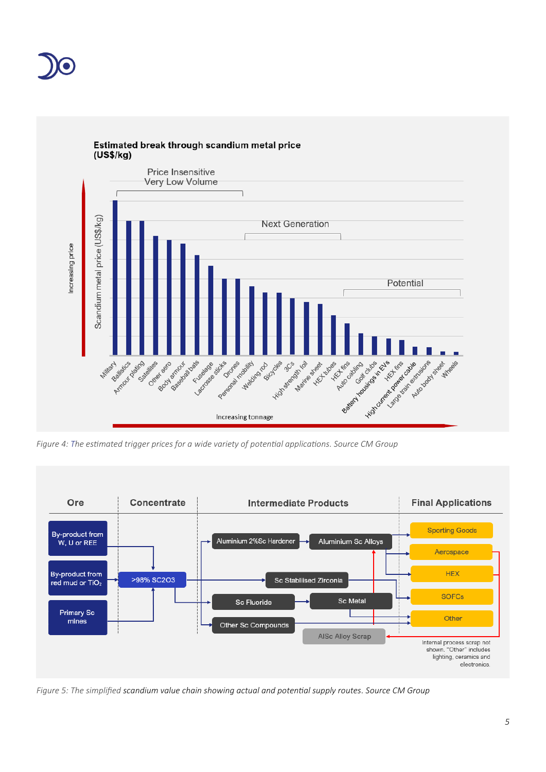



*Figure 4: The estimated trigger prices for a wide variety of potential applications. Source CM Group*



*Figure 5: The simplified scandium value chain showing actual and potential supply routes. Source CM Group*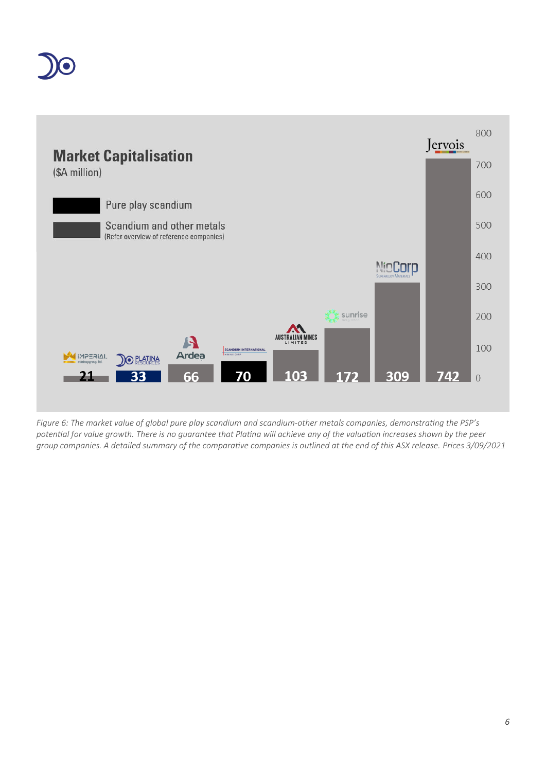



*Figure 6: The market value of global pure play scandium and scandium-other metals companies, demonstrating the PSP's potential for value growth. There is no guarantee that Platina will achieve any of the valuation increases shown by the peer group companies. A detailed summary of the comparative companies is outlined at the end of this ASX release. Prices 3/09/2021*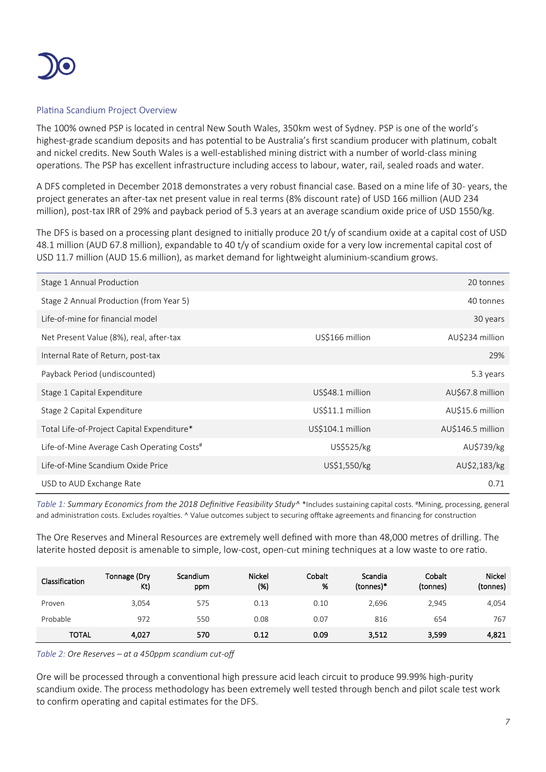

### Platina Scandium Project Overview

The 100% owned PSP is located in central New South Wales, 350km west of Sydney. PSP is one of the world's highest-grade scandium deposits and has potential to be Australia's first scandium producer with platinum, cobalt and nickel credits. New South Wales is a well-established mining district with a number of world-class mining operations. The PSP has excellent infrastructure including access to labour, water, rail, sealed roads and water.

A DFS completed in December 2018 demonstrates a very robust financial case. Based on a mine life of 30- years, the project generates an after-tax net present value in real terms (8% discount rate) of USD 166 million (AUD 234 million), post-tax IRR of 29% and payback period of 5.3 years at an average scandium oxide price of USD 1550/kg.

The DFS is based on a processing plant designed to initially produce 20 t/y of scandium oxide at a capital cost of USD 48.1 million (AUD 67.8 million), expandable to 40 t/y of scandium oxide for a very low incremental capital cost of USD 11.7 million (AUD 15.6 million), as market demand for lightweight aluminium-scandium grows.

| Stage 1 Annual Production                              |                   | 20 tonnes         |
|--------------------------------------------------------|-------------------|-------------------|
| Stage 2 Annual Production (from Year 5)                |                   | 40 tonnes         |
| Life-of-mine for financial model                       |                   | 30 years          |
| Net Present Value (8%), real, after-tax                | US\$166 million   | AU\$234 million   |
| Internal Rate of Return, post-tax                      |                   | 29%               |
| Payback Period (undiscounted)                          |                   | 5.3 years         |
| Stage 1 Capital Expenditure                            | US\$48.1 million  | AU\$67.8 million  |
| Stage 2 Capital Expenditure                            | US\$11.1 million  | AU\$15.6 million  |
| Total Life-of-Project Capital Expenditure*             | US\$104.1 million | AU\$146.5 million |
| Life-of-Mine Average Cash Operating Costs <sup>#</sup> | US\$525/kg        | AU\$739/kg        |
| Life-of-Mine Scandium Oxide Price                      | US\$1,550/kg      | AU\$2,183/kg      |
| USD to AUD Exchange Rate                               |                   | 0.71              |

*Table 1: Summary Economics from the 2018 Definitive Feasibility Study*<sup>A\*</sup> Includes sustaining capital costs. #Mining, processing, general and administration costs. Excludes royalties. ^ Value outcomes subject to securing offtake agreements and financing for construction

The Ore Reserves and Mineral Resources are extremely well defined with more than 48,000 metres of drilling. The laterite hosted deposit is amenable to simple, low-cost, open-cut mining techniques at a low waste to ore ratio.

| Classification | Tonnage (Dry<br>Kt) | Scandium<br>ppm | <b>Nickel</b><br>(%) | Cobalt<br>% | Scandia<br>(tonnes)* | Cobalt<br>(tonnes) | Nickel<br>(tonnes) |
|----------------|---------------------|-----------------|----------------------|-------------|----------------------|--------------------|--------------------|
| Proven         | 3.054               | 575             | 0.13                 | 0.10        | 2,696                | 2.945              | 4,054              |
| Probable       | 972                 | 550             | 0.08                 | 0.07        | 816                  | 654                | 767                |
| TOTAL          | 4.027               | 570             | 0.12                 | 0.09        | 3,512                | 3,599              | 4,821              |

*Table 2: Ore Reserves – at a 450ppm scandium cut-off*

Ore will be processed through a conventional high pressure acid leach circuit to produce 99.99% high-purity scandium oxide. The process methodology has been extremely well tested through bench and pilot scale test work to confirm operating and capital estimates for the DFS.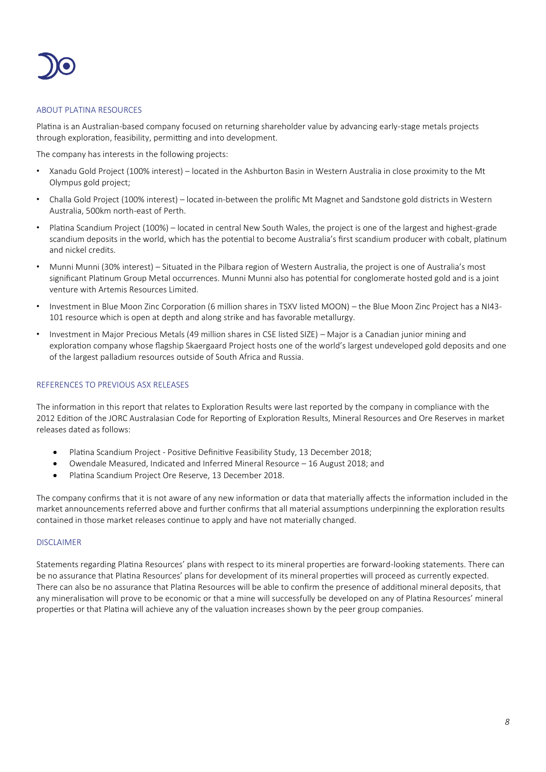

### ABOUT PLATINA RESOURCES

Platina is an Australian-based company focused on returning shareholder value by advancing early-stage metals projects through exploration, feasibility, permitting and into development.

The company has interests in the following projects:

- Xanadu Gold Project (100% interest) located in the Ashburton Basin in Western Australia in close proximity to the Mt Olympus gold project;
- Challa Gold Project (100% interest) located in-between the prolific Mt Magnet and Sandstone gold districts in Western Australia, 500km north-east of Perth.
- Platina Scandium Project (100%) located in central New South Wales, the project is one of the largest and highest-grade scandium deposits in the world, which has the potential to become Australia's first scandium producer with cobalt, platinum and nickel credits.
- Munni Munni (30% interest) Situated in the Pilbara region of Western Australia, the project is one of Australia's most significant Platinum Group Metal occurrences. Munni Munni also has potential for conglomerate hosted gold and is a joint venture with Artemis Resources Limited.
- Investment in Blue Moon Zinc Corporation (6 million shares in TSXV listed MOON) the Blue Moon Zinc Project has a NI43- 101 resource which is open at depth and along strike and has favorable metallurgy.
- Investment in Major Precious Metals (49 million shares in CSE listed SIZE) Major is a Canadian junior mining and exploration company whose flagship Skaergaard Project hosts one of the world's largest undeveloped gold deposits and one of the largest palladium resources outside of South Africa and Russia.

### REFERENCES TO PREVIOUS ASX RELEASES

The information in this report that relates to Exploration Results were last reported by the company in compliance with the 2012 Edition of the JORC Australasian Code for Reporting of Exploration Results, Mineral Resources and Ore Reserves in market releases dated as follows:

- Platina Scandium Project Positive Definitive Feasibility Study, 13 December 2018;
- Owendale Measured, Indicated and Inferred Mineral Resource 16 August 2018; and
- Platina Scandium Project Ore Reserve, 13 December 2018.

The company confirms that it is not aware of any new information or data that materially affects the information included in the market announcements referred above and further confirms that all material assumptions underpinning the exploration results contained in those market releases continue to apply and have not materially changed.

### DISCLAIMER

Statements regarding Platina Resources' plans with respect to its mineral properties are forward-looking statements. There can be no assurance that Platina Resources' plans for development of its mineral properties will proceed as currently expected. There can also be no assurance that Platina Resources will be able to confirm the presence of additional mineral deposits, that any mineralisation will prove to be economic or that a mine will successfully be developed on any of Platina Resources' mineral properties or that Platina will achieve any of the valuation increases shown by the peer group companies.